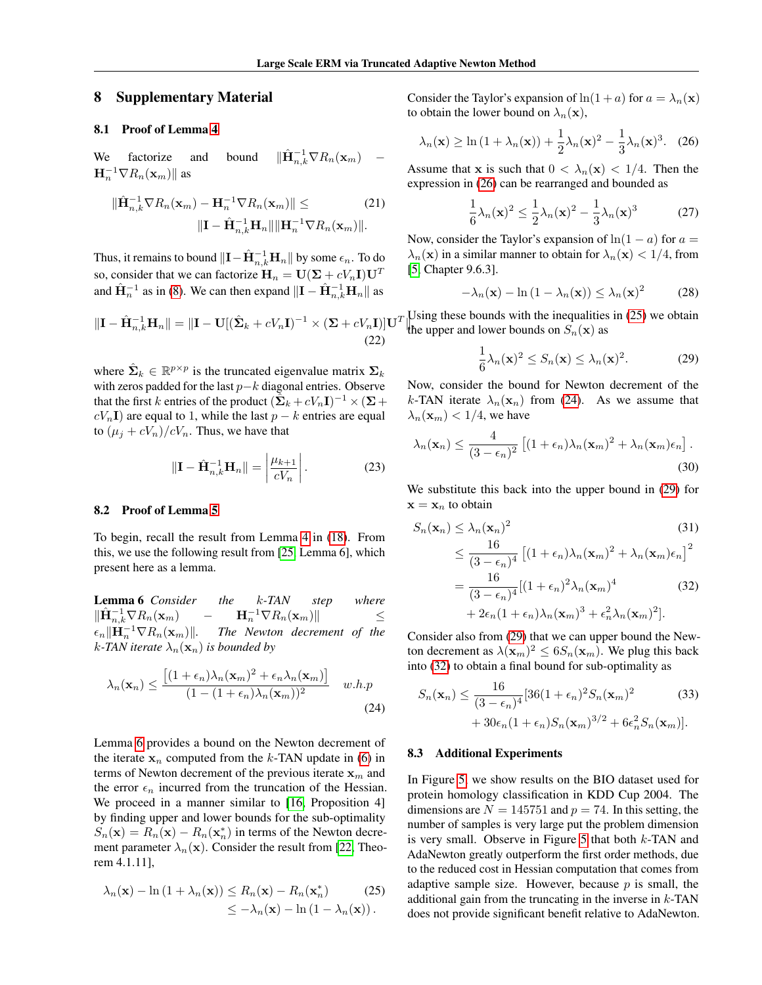## 8 Supplementary Material

## 8.1 Proof of Lemma 4

We factorize and bound  $\|\hat{\mathbf{H}}_{n,k}^{-1} \nabla R_n(\mathbf{x}_m)$  –  $\mathbf{H}_n^{-1} \nabla R_n(\mathbf{x}_m)$ || as

$$
\|\widehat{\mathbf{H}}_{n,k}^{-1} \nabla R_n(\mathbf{x}_m) - \mathbf{H}_n^{-1} \nabla R_n(\mathbf{x}_m)\| \leq \tag{21}
$$

$$
\|\mathbf{I} - \widehat{\mathbf{H}}_{n,k}^{-1} \mathbf{H}_n\| \|\mathbf{H}_n^{-1} \nabla R_n(\mathbf{x}_m)\|.
$$

Thus, it remains to bound  $\|\mathbf{I} - \hat{\mathbf{H}}_{n,k}^{-1} \mathbf{H}_n\|$  by some  $\epsilon_n.$  To do so, consider that we can factorize  $\mathbf{H}_n = \mathbf{U}(\mathbf{\Sigma} + cV_n\mathbf{I})\mathbf{U}^T$ and  $\hat{H}_n^{-1}$  as in (8). We can then expand  $\|\mathbf{I} - \hat{\mathbf{H}}_{n,k}^{-1} \mathbf{H}_n\|$  as

$$
\|\mathbf{I} - \hat{\mathbf{H}}_{n,k}^{-1} \mathbf{H}_n\| = \|\mathbf{I} - \mathbf{U}[(\hat{\boldsymbol{\Sigma}}_k + cV_n \mathbf{I})^{-1} \times (\boldsymbol{\Sigma} + cV_n \mathbf{I})] \mathbf{U}^T
$$
\n(22)

where  $\hat{\Sigma}_k \in \mathbb{R}^{p \times p}$  is the truncated eigenvalue matrix  $\Sigma_k$ with zeros padded for the last  $p-k$  diagonal entries. Observe that the first k entries of the product  $(\tilde{\Sigma}_k + cV_n \mathbf{I})^{-1} \times (\Sigma +$  $cV_nI$ ) are equal to 1, while the last  $p - k$  entries are equal to  $(\mu_i + cV_n)/cV_n$ . Thus, we have that

$$
\|\mathbf{I} - \hat{\mathbf{H}}_{n,k}^{-1} \mathbf{H}_n\| = \left| \frac{\mu_{k+1}}{cV_n} \right|.
$$
 (23)

## 8.2 Proof of Lemma 5

To begin, recall the result from Lemma 4 in (18). From this, we use the following result from [25, Lemma 6], which present here as a lemma.

<span id="page-0-0"></span>Lemma 6 *Consider the* k*-TAN step where*  $\|\hat{\mathbf{H}}^{-1}_{n,k}\nabla R_n(\mathbf{x}_m) \quad - \quad \mathbf{H}^{-1}_n\nabla R_n(\mathbf{x}_m)\| \quad \leq$  $\epsilon_n \| \mathbf{H}_n^{-1} \nabla R_n(\mathbf{x}_m) \|.$  The Newton decrement of the *k*-TAN iterate  $\lambda_n(\mathbf{x}_n)$  is bounded by

$$
\lambda_n(\mathbf{x}_n) \le \frac{\left[ (1 + \epsilon_n) \lambda_n(\mathbf{x}_m)^2 + \epsilon_n \lambda_n(\mathbf{x}_m) \right]}{(1 - (1 + \epsilon_n) \lambda_n(\mathbf{x}_m))^2} \quad w.h.p
$$
\n(24)

Lemma [6](#page-0-0) provides a bound on the Newton decrement of the iterate  $x_n$  computed from the k-TAN update in (6) in terms of Newton decrement of the previous iterate  $x<sub>m</sub>$  and the error  $\epsilon_n$  incurred from the truncation of the Hessian. We proceed in a manner similar to [16, Proposition 4] by finding upper and lower bounds for the sub-optimality  $S_n(\mathbf{x}) = R_n(\mathbf{x}) - R_n(\mathbf{x}_n^*)$  in terms of the Newton decrement parameter  $\lambda_n(\mathbf{x})$ . Consider the result from [22, Theorem 4.1.11],

$$
\lambda_n(\mathbf{x}) - \ln(1 + \lambda_n(\mathbf{x})) \le R_n(\mathbf{x}) - R_n(\mathbf{x}_n^*)
$$
 (25)  

$$
\le -\lambda_n(\mathbf{x}) - \ln(1 - \lambda_n(\mathbf{x})).
$$

Consider the Taylor's expansion of  $ln(1 + a)$  for  $a = \lambda_n(\mathbf{x})$ to obtain the lower bound on  $\lambda_n(\mathbf{x}),$ 

$$
\lambda_n(\mathbf{x}) \ge \ln\left(1 + \lambda_n(\mathbf{x})\right) + \frac{1}{2}\lambda_n(\mathbf{x})^2 - \frac{1}{3}\lambda_n(\mathbf{x})^3. \quad (26)
$$

Assume that x is such that  $0 < \lambda_n(\mathbf{x}) < 1/4$ . Then the expression in [\(26\)](#page-0-1) can be rearranged and bounded as

<span id="page-0-1"></span>
$$
\frac{1}{6}\lambda_n(\mathbf{x})^2 \le \frac{1}{2}\lambda_n(\mathbf{x})^2 - \frac{1}{3}\lambda_n(\mathbf{x})^3 \tag{27}
$$

Now, consider the Taylor's expansion of  $ln(1 - a)$  for  $a =$  $\lambda_n(\mathbf{x})$  in a similar manner to obtain for  $\lambda_n(\mathbf{x}) < 1/4$ , from [5, Chapter 9.6.3].

$$
-\lambda_n(\mathbf{x}) - \ln(1 - \lambda_n(\mathbf{x})) \le \lambda_n(\mathbf{x})^2 \tag{28}
$$

Using these bounds with the inequalities in [\(25\)](#page-0-2) we obtain<br>the upper and lower bounds on  $S_n(x)$  as the upper and lower bounds on  $S_n(\mathbf{x})$  as

<span id="page-0-4"></span>
$$
\frac{1}{6}\lambda_n(\mathbf{x})^2 \le S_n(\mathbf{x}) \le \lambda_n(\mathbf{x})^2. \tag{29}
$$

Now, consider the bound for Newton decrement of the k-TAN iterate  $\lambda_n(\mathbf{x}_n)$  from [\(24\)](#page-0-3). As we assume that  $\lambda_n(\mathbf{x}_m) < 1/4$ , we have

$$
\lambda_n(\mathbf{x}_n) \le \frac{4}{(3 - \epsilon_n)^2} \left[ (1 + \epsilon_n) \lambda_n(\mathbf{x}_m)^2 + \lambda_n(\mathbf{x}_m) \epsilon_n \right].
$$
\n(30)

We substitute this back into the upper bound in [\(29\)](#page-0-4) for  $\mathbf{x} = \mathbf{x}_n$  to obtain

<span id="page-0-5"></span>
$$
S_n(\mathbf{x}_n) \leq \lambda_n(\mathbf{x}_n)^2
$$
\n
$$
\leq \frac{16}{(3 - \epsilon_n)^4} \left[ (1 + \epsilon_n)\lambda_n(\mathbf{x}_m)^2 + \lambda_n(\mathbf{x}_m)\epsilon_n \right]^2
$$
\n
$$
= \frac{16}{(3 - \epsilon_n)^4} \left[ (1 + \epsilon_n)^2 \lambda_n(\mathbf{x}_m)^4 + 2\epsilon_n(1 + \epsilon_n)\lambda_n(\mathbf{x}_m)^3 + \epsilon_n^2 \lambda_n(\mathbf{x}_m)^2 \right].
$$
\n(32)

Consider also from [\(29\)](#page-0-4) that we can upper bound the Newton decrement as  $\lambda(\mathbf{x}_m)^2 \leq 6S_n(\mathbf{x}_m)$ . We plug this back into [\(32\)](#page-0-5) to obtain a final bound for sub-optimality as

<span id="page-0-3"></span>
$$
S_n(\mathbf{x}_n) \le \frac{16}{(3 - \epsilon_n)^4} [36(1 + \epsilon_n)^2 S_n(\mathbf{x}_m)^2 + 30\epsilon_n (1 + \epsilon_n) S_n(\mathbf{x}_m)^{3/2} + 6\epsilon_n^2 S_n(\mathbf{x}_m)].
$$
\n(33)

## 8.3 Additional Experiments

<span id="page-0-2"></span>In Figure [5,](#page-1-0) we show results on the BIO dataset used for protein homology classification in KDD Cup 2004. The dimensions are  $N = 145751$  and  $p = 74$ . In this setting, the number of samples is very large put the problem dimension is very small. Observe in Figure [5](#page-1-0) that both  $k$ -TAN and AdaNewton greatly outperform the first order methods, due to the reduced cost in Hessian computation that comes from adaptive sample size. However, because  $p$  is small, the additional gain from the truncating in the inverse in  $k$ -TAN does not provide significant benefit relative to AdaNewton.